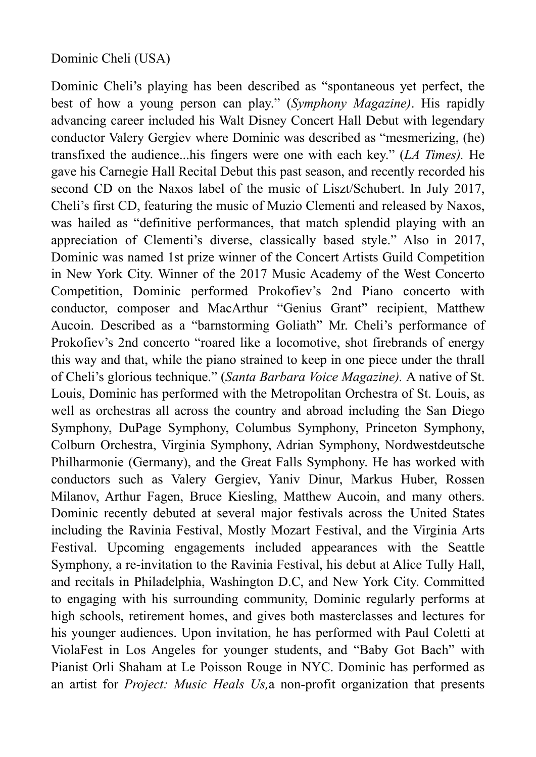## Dominic Cheli (USA)

Dominic Cheli's playing has been described as "spontaneous yet perfect, the best of how a young person can play." (*Symphony Magazine)*. His rapidly advancing career included his Walt Disney Concert Hall Debut with legendary conductor Valery Gergiev where Dominic was described as "mesmerizing, (he) transfixed the audience...his fingers were one with each key." (*LA Times).* He gave his Carnegie Hall Recital Debut this past season, and recently recorded his second CD on the Naxos label of the music of Liszt/Schubert. In July 2017, Cheli's first CD, featuring the music of Muzio Clementi and released by Naxos, was hailed as "definitive performances, that match splendid playing with an appreciation of Clementi's diverse, classically based style." Also in 2017, Dominic was named 1st prize winner of the Concert Artists Guild Competition in New York City. Winner of the 2017 Music Academy of the West Concerto Competition, Dominic performed Prokofiev's 2nd Piano concerto with conductor, composer and MacArthur "Genius Grant" recipient, Matthew Aucoin. Described as a "barnstorming Goliath" Mr. Cheli's performance of Prokofiev's 2nd concerto "roared like a locomotive, shot firebrands of energy this way and that, while the piano strained to keep in one piece under the thrall of Cheli's glorious technique." (*Santa Barbara Voice Magazine).* A native of St. Louis, Dominic has performed with the Metropolitan Orchestra of St. Louis, as well as orchestras all across the country and abroad including the San Diego Symphony, DuPage Symphony, Columbus Symphony, Princeton Symphony, Colburn Orchestra, Virginia Symphony, Adrian Symphony, Nordwestdeutsche Philharmonie (Germany), and the Great Falls Symphony. He has worked with conductors such as Valery Gergiev, Yaniv Dinur, Markus Huber, Rossen Milanov, Arthur Fagen, Bruce Kiesling, Matthew Aucoin, and many others. Dominic recently debuted at several major festivals across the United States including the Ravinia Festival, Mostly Mozart Festival, and the Virginia Arts Festival. Upcoming engagements included appearances with the Seattle Symphony, a re-invitation to the Ravinia Festival, his debut at Alice Tully Hall, and recitals in Philadelphia, Washington D.C, and New York City. Committed to engaging with his surrounding community, Dominic regularly performs at high schools, retirement homes, and gives both masterclasses and lectures for his younger audiences. Upon invitation, he has performed with Paul Coletti at ViolaFest in Los Angeles for younger students, and "Baby Got Bach" with Pianist Orli Shaham at Le Poisson Rouge in NYC. Dominic has performed as an artist for *Project: Music Heals Us,*a non-profit organization that presents